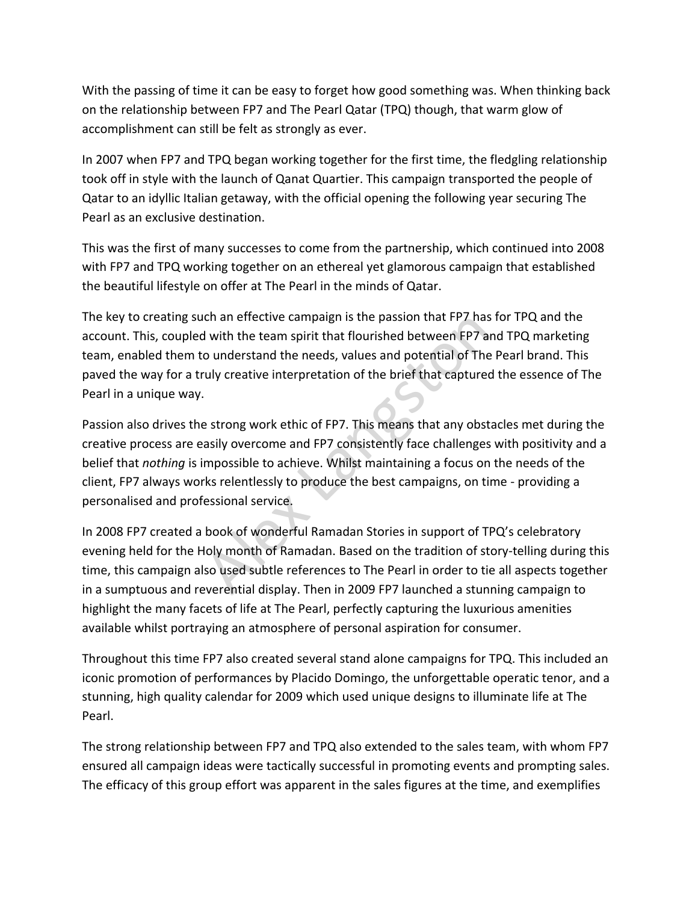With the passing of time it can be easy to forget how good something was. When thinking back on the relationship between FP7 and The Pearl Qatar (TPQ) though, that warm glow of accomplishment can still be felt as strongly as ever.

In 2007 when FP7 and TPQ began working together for the first time, the fledgling relationship took off in style with the launch of Qanat Quartier. This campaign transported the people of Qatar to an idyllic Italian getaway, with the official opening the following year securing The Pearl as an exclusive destination.

This was the first of many successes to come from the partnership, which continued into 2008 with FP7 and TPQ working together on an ethereal yet glamorous campaign that established the beautiful lifestyle on offer at The Pearl in the minds of Qatar.

The key to creating such an effective campaign is the passion that FP7 has for TPQ and the account. This, coupled with the team spirit that flourished between FP7 and TPQ marketing team, enabled them to understand the needs, values and potential of The Pearl brand. This paved the way for a truly creative interpretation of the brief that captured the essence of The Pearl in a unique way.

Passion also drives the strong work ethic of FP7. This means that any obstacles met during the creative process are easily overcome and FP7 consistently face challenges with positivity and a belief that *nothing* is impossible to achieve. Whilst maintaining a focus on the needs of the client, FP7 always works relentlessly to produce the best campaigns, on time - providing a personalised and professional service. Communism is the passion that FP7 has<br>
d with the team spirit that flourished between FP7 and<br>
conderstand the needs, values and potential of The<br>
ruly creative interpretation of the brief that capture<br>
e strong work ethic

In 2008 FP7 created a book of wonderful Ramadan Stories in support of TPQ's celebratory evening held for the Holy month of Ramadan. Based on the tradition of story-telling during this time, this campaign also used subtle references to The Pearl in order to tie all aspects together in a sumptuous and reverential display. Then in 2009 FP7 launched a stunning campaign to highlight the many facets of life at The Pearl, perfectly capturing the luxurious amenities available whilst portraying an atmosphere of personal aspiration for consumer.

Throughout this time FP7 also created several stand alone campaigns for TPQ. This included an iconic promotion of performances by Placido Domingo, the unforgettable operatic tenor, and a stunning, high quality calendar for 2009 which used unique designs to illuminate life at The Pearl.

The strong relationship between FP7 and TPQ also extended to the sales team, with whom FP7 ensured all campaign ideas were tactically successful in promoting events and prompting sales. The efficacy of this group effort was apparent in the sales figures at the time, and exemplifies